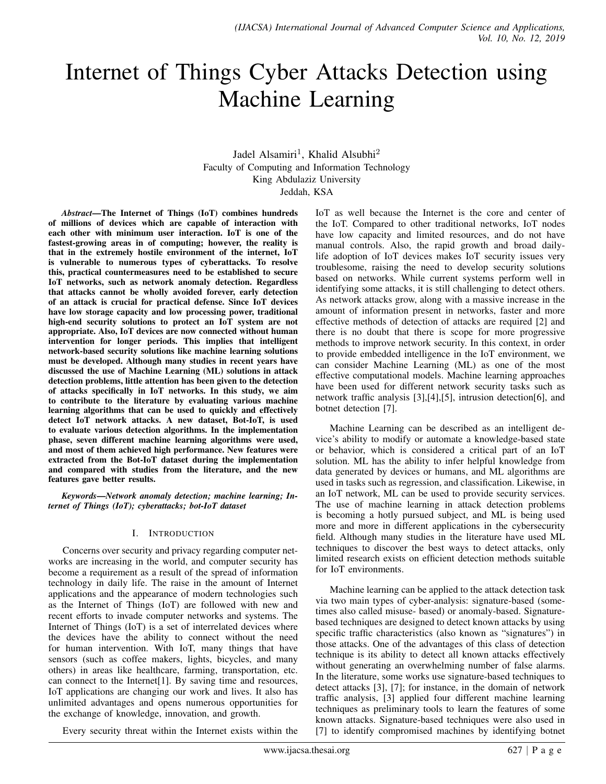# Internet of Things Cyber Attacks Detection using Machine Learning

Jadel Alsamiri<sup>1</sup>, Khalid Alsubhi<sup>2</sup> Faculty of Computing and Information Technology King Abdulaziz University Jeddah, KSA

*Abstract*—The Internet of Things (IoT) combines hundreds of millions of devices which are capable of interaction with each other with minimum user interaction. IoT is one of the fastest-growing areas in of computing; however, the reality is that in the extremely hostile environment of the internet, IoT is vulnerable to numerous types of cyberattacks. To resolve this, practical countermeasures need to be established to secure IoT networks, such as network anomaly detection. Regardless that attacks cannot be wholly avoided forever, early detection of an attack is crucial for practical defense. Since IoT devices have low storage capacity and low processing power, traditional high-end security solutions to protect an IoT system are not appropriate. Also, IoT devices are now connected without human intervention for longer periods. This implies that intelligent network-based security solutions like machine learning solutions must be developed. Although many studies in recent years have discussed the use of Machine Learning (ML) solutions in attack detection problems, little attention has been given to the detection of attacks specifically in IoT networks. In this study, we aim to contribute to the literature by evaluating various machine learning algorithms that can be used to quickly and effectively detect IoT network attacks. A new dataset, Bot-IoT, is used to evaluate various detection algorithms. In the implementation phase, seven different machine learning algorithms were used, and most of them achieved high performance. New features were extracted from the Bot-IoT dataset during the implementation and compared with studies from the literature, and the new features gave better results.

*Keywords*—*Network anomaly detection; machine learning; Internet of Things (IoT); cyberattacks; bot-IoT dataset*

## I. INTRODUCTION

Concerns over security and privacy regarding computer networks are increasing in the world, and computer security has become a requirement as a result of the spread of information technology in daily life. The raise in the amount of Internet applications and the appearance of modern technologies such as the Internet of Things (IoT) are followed with new and recent efforts to invade computer networks and systems. The Internet of Things (IoT) is a set of interrelated devices where the devices have the ability to connect without the need for human intervention. With IoT, many things that have sensors (such as coffee makers, lights, bicycles, and many others) in areas like healthcare, farming, transportation, etc. can connect to the Internet[1]. By saving time and resources, IoT applications are changing our work and lives. It also has unlimited advantages and opens numerous opportunities for the exchange of knowledge, innovation, and growth.

the IoT. Compared to other traditional networks, IoT nodes have low capacity and limited resources, and do not have manual controls. Also, the rapid growth and broad dailylife adoption of IoT devices makes IoT security issues very troublesome, raising the need to develop security solutions based on networks. While current systems perform well in identifying some attacks, it is still challenging to detect others. As network attacks grow, along with a massive increase in the amount of information present in networks, faster and more effective methods of detection of attacks are required [2] and there is no doubt that there is scope for more progressive methods to improve network security. In this context, in order to provide embedded intelligence in the IoT environment, we can consider Machine Learning (ML) as one of the most effective computational models. Machine learning approaches have been used for different network security tasks such as network traffic analysis [3],[4],[5], intrusion detection[6], and botnet detection [7].

IoT as well because the Internet is the core and center of

Machine Learning can be described as an intelligent device's ability to modify or automate a knowledge-based state or behavior, which is considered a critical part of an IoT solution. ML has the ability to infer helpful knowledge from data generated by devices or humans, and ML algorithms are used in tasks such as regression, and classification. Likewise, in an IoT network, ML can be used to provide security services. The use of machine learning in attack detection problems is becoming a hotly pursued subject, and ML is being used more and more in different applications in the cybersecurity field. Although many studies in the literature have used ML techniques to discover the best ways to detect attacks, only limited research exists on efficient detection methods suitable for IoT environments.

Machine learning can be applied to the attack detection task via two main types of cyber-analysis: signature-based (sometimes also called misuse- based) or anomaly-based. Signaturebased techniques are designed to detect known attacks by using specific traffic characteristics (also known as "signatures") in those attacks. One of the advantages of this class of detection technique is its ability to detect all known attacks effectively without generating an overwhelming number of false alarms. In the literature, some works use signature-based techniques to detect attacks [3], [7]; for instance, in the domain of network traffic analysis, [3] applied four different machine learning techniques as preliminary tools to learn the features of some known attacks. Signature-based techniques were also used in [7] to identify compromised machines by identifying botnet

Every security threat within the Internet exists within the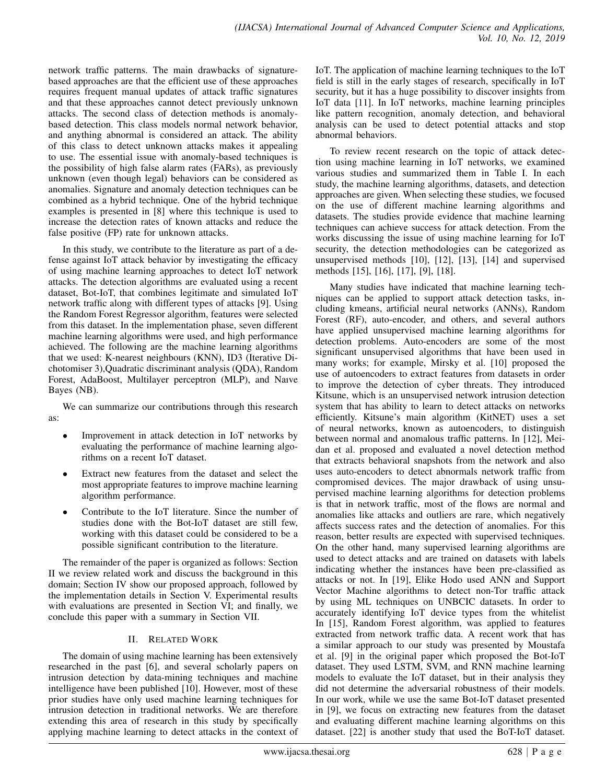network traffic patterns. The main drawbacks of signaturebased approaches are that the efficient use of these approaches requires frequent manual updates of attack traffic signatures and that these approaches cannot detect previously unknown attacks. The second class of detection methods is anomalybased detection. This class models normal network behavior, and anything abnormal is considered an attack. The ability of this class to detect unknown attacks makes it appealing to use. The essential issue with anomaly-based techniques is the possibility of high false alarm rates (FARs), as previously unknown (even though legal) behaviors can be considered as anomalies. Signature and anomaly detection techniques can be combined as a hybrid technique. One of the hybrid technique examples is presented in [8] where this technique is used to increase the detection rates of known attacks and reduce the false positive (FP) rate for unknown attacks.

In this study, we contribute to the literature as part of a defense against IoT attack behavior by investigating the efficacy of using machine learning approaches to detect IoT network attacks. The detection algorithms are evaluated using a recent dataset, Bot-IoT, that combines legitimate and simulated IoT network traffic along with different types of attacks [9]. Using the Random Forest Regressor algorithm, features were selected from this dataset. In the implementation phase, seven different machine learning algorithms were used, and high performance achieved. The following are the machine learning algorithms that we used: K-nearest neighbours (KNN), ID3 (Iterative Dichotomiser 3),Quadratic discriminant analysis (QDA), Random Forest, AdaBoost, Multilayer perceptron (MLP), and Naıve Bayes (NB).

We can summarize our contributions through this research as:

- Improvement in attack detection in IoT networks by evaluating the performance of machine learning algorithms on a recent IoT dataset.
- Extract new features from the dataset and select the most appropriate features to improve machine learning algorithm performance.
- Contribute to the IoT literature. Since the number of studies done with the Bot-IoT dataset are still few, working with this dataset could be considered to be a possible significant contribution to the literature.

The remainder of the paper is organized as follows: Section II we review related work and discuss the background in this domain; Section IV show our proposed approach, followed by the implementation details in Section V. Experimental results with evaluations are presented in Section VI; and finally, we conclude this paper with a summary in Section VII.

# II. RELATED WORK

The domain of using machine learning has been extensively researched in the past [6], and several scholarly papers on intrusion detection by data-mining techniques and machine intelligence have been published [10]. However, most of these prior studies have only used machine learning techniques for intrusion detection in traditional networks. We are therefore extending this area of research in this study by specifically applying machine learning to detect attacks in the context of IoT. The application of machine learning techniques to the IoT field is still in the early stages of research, specifically in IoT security, but it has a huge possibility to discover insights from IoT data [11]. In IoT networks, machine learning principles like pattern recognition, anomaly detection, and behavioral analysis can be used to detect potential attacks and stop abnormal behaviors.

To review recent research on the topic of attack detection using machine learning in IoT networks, we examined various studies and summarized them in Table I. In each study, the machine learning algorithms, datasets, and detection approaches are given. When selecting these studies, we focused on the use of different machine learning algorithms and datasets. The studies provide evidence that machine learning techniques can achieve success for attack detection. From the works discussing the issue of using machine learning for IoT security, the detection methodologies can be categorized as unsupervised methods [10], [12], [13], [14] and supervised methods [15], [16], [17], [9], [18].

Many studies have indicated that machine learning techniques can be applied to support attack detection tasks, including kmeans, artificial neural networks (ANNs), Random Forest (RF), auto-encoder, and others, and several authors have applied unsupervised machine learning algorithms for detection problems. Auto-encoders are some of the most significant unsupervised algorithms that have been used in many works; for example, Mirsky et al. [10] proposed the use of autoencoders to extract features from datasets in order to improve the detection of cyber threats. They introduced Kitsune, which is an unsupervised network intrusion detection system that has ability to learn to detect attacks on networks efficiently. Kitsune's main algorithm (KitNET) uses a set of neural networks, known as autoencoders, to distinguish between normal and anomalous traffic patterns. In [12], Meidan et al. proposed and evaluated a novel detection method that extracts behavioral snapshots from the network and also uses auto-encoders to detect abnormals network traffic from compromised devices. The major drawback of using unsupervised machine learning algorithms for detection problems is that in network traffic, most of the flows are normal and anomalies like attacks and outliers are rare, which negatively affects success rates and the detection of anomalies. For this reason, better results are expected with supervised techniques. On the other hand, many supervised learning algorithms are used to detect attacks and are trained on datasets with labels indicating whether the instances have been pre-classified as attacks or not. In [19], Elike Hodo used ANN and Support Vector Machine algorithms to detect non-Tor traffic attack by using ML techniques on UNBCIC datasets. In order to accurately identifying IoT device types from the whitelist In [15], Random Forest algorithm, was applied to features extracted from network traffic data. A recent work that has a similar approach to our study was presented by Moustafa et al. [9] in the original paper which proposed the Bot-IoT dataset. They used LSTM, SVM, and RNN machine learning models to evaluate the IoT dataset, but in their analysis they did not determine the adversarial robustness of their models. In our work, while we use the same Bot-IoT dataset presented in [9], we focus on extracting new features from the dataset and evaluating different machine learning algorithms on this dataset. [22] is another study that used the BoT-IoT dataset.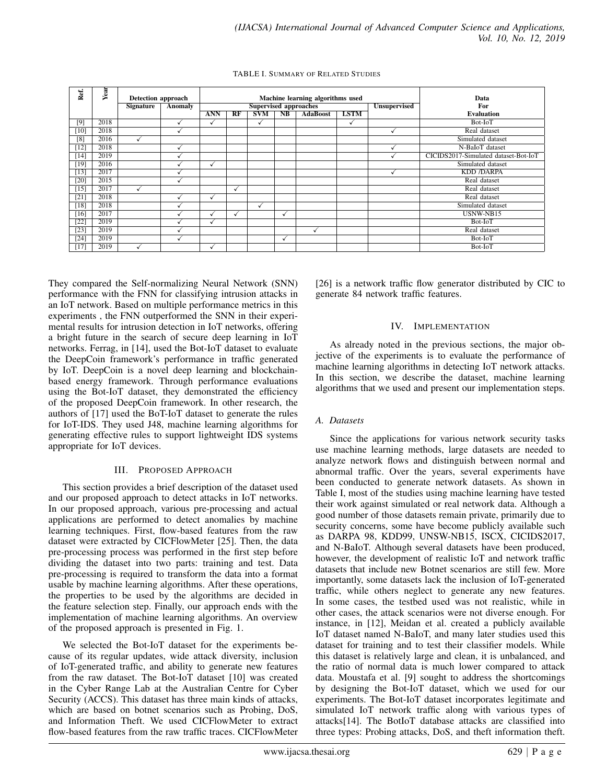| Ref.               | Year | Detection approach |         |                          |              |                              |            | Machine learning algorithms used |              |                     | Data                                 |
|--------------------|------|--------------------|---------|--------------------------|--------------|------------------------------|------------|----------------------------------|--------------|---------------------|--------------------------------------|
|                    |      | <b>Signature</b>   | Anomaly |                          |              | <b>Supervised approaches</b> |            |                                  |              | <b>Unsupervised</b> | For                                  |
|                    |      |                    |         | ANN                      | RF           | <b>SVM</b>                   | <b>NB</b>  | <b>AdaBoost</b>                  | <b>LSTM</b>  |                     | <b>Evaluation</b>                    |
| [9]                | 2018 |                    |         | M                        |              | $\checkmark$                 |            |                                  | $\checkmark$ |                     | Bot-IoT                              |
| $\overline{10}$    | 2018 |                    |         |                          |              |                              |            |                                  |              |                     | Real dataset                         |
| [8]                | 2016 |                    |         |                          |              |                              |            |                                  |              |                     | Simulated dataset                    |
| $\lceil 12 \rceil$ | 2018 |                    |         |                          |              |                              |            |                                  |              |                     | N-BaIoT dataset                      |
| [14]               | 2019 |                    |         |                          |              |                              |            |                                  |              |                     | CICIDS2017-Simulated dataset-Bot-IoT |
| $[19]$             | 2016 |                    |         | $\overline{\phantom{a}}$ |              |                              |            |                                  |              |                     | Simulated dataset                    |
| [13]               | 2017 |                    |         |                          |              |                              |            |                                  |              |                     | <b>KDD /DARPA</b>                    |
| $\overline{20}$    | 2015 |                    |         |                          |              |                              |            |                                  |              |                     | Real dataset                         |
| $[15]$             | 2017 |                    |         |                          | $\checkmark$ |                              |            |                                  |              |                     | Real dataset                         |
| [21]               | 2018 |                    |         | √                        |              |                              |            |                                  |              |                     | Real dataset                         |
| $\overline{18}$    | 2018 |                    |         |                          |              | ✓                            |            |                                  |              |                     | Simulated dataset                    |
| [16]               | 2017 |                    |         | √                        | ✓            |                              | $\sqrt{ }$ |                                  |              |                     | USNW-NB15                            |
| [22]               | 2019 |                    |         | v                        |              |                              |            |                                  |              |                     | Bot-IoT                              |
| [23]               | 2019 |                    |         |                          |              |                              |            | $\checkmark$                     |              |                     | Real dataset                         |
| [24]               | 2019 |                    |         |                          |              |                              |            |                                  |              |                     | Bot-IoT                              |
| $[17]$             | 2019 |                    |         | v                        |              |                              |            |                                  |              |                     | Bot-IoT                              |

TABLE I. SUMMARY OF RELATED STUDIES

They compared the Self-normalizing Neural Network (SNN) performance with the FNN for classifying intrusion attacks in an IoT network. Based on multiple performance metrics in this experiments , the FNN outperformed the SNN in their experimental results for intrusion detection in IoT networks, offering a bright future in the search of secure deep learning in IoT networks. Ferrag, in [14], used the Bot-IoT dataset to evaluate the DeepCoin framework's performance in traffic generated by IoT. DeepCoin is a novel deep learning and blockchainbased energy framework. Through performance evaluations using the Bot-IoT dataset, they demonstrated the efficiency of the proposed DeepCoin framework. In other research, the authors of [17] used the BoT-IoT dataset to generate the rules for IoT-IDS. They used J48, machine learning algorithms for generating effective rules to support lightweight IDS systems appropriate for IoT devices.

## III. PROPOSED APPROACH

This section provides a brief description of the dataset used and our proposed approach to detect attacks in IoT networks. In our proposed approach, various pre-processing and actual applications are performed to detect anomalies by machine learning techniques. First, flow-based features from the raw dataset were extracted by CICFlowMeter [25]. Then, the data pre-processing process was performed in the first step before dividing the dataset into two parts: training and test. Data pre-processing is required to transform the data into a format usable by machine learning algorithms. After these operations, the properties to be used by the algorithms are decided in the feature selection step. Finally, our approach ends with the implementation of machine learning algorithms. An overview of the proposed approach is presented in Fig. 1.

We selected the Bot-IoT dataset for the experiments because of its regular updates, wide attack diversity, inclusion of IoT-generated traffic, and ability to generate new features from the raw dataset. The Bot-IoT dataset [10] was created in the Cyber Range Lab at the Australian Centre for Cyber Security (ACCS). This dataset has three main kinds of attacks, which are based on botnet scenarios such as Probing, DoS, and Information Theft. We used CICFlowMeter to extract flow-based features from the raw traffic traces. CICFlowMeter

[26] is a network traffic flow generator distributed by CIC to generate 84 network traffic features.

# IV. IMPLEMENTATION

As already noted in the previous sections, the major objective of the experiments is to evaluate the performance of machine learning algorithms in detecting IoT network attacks. In this section, we describe the dataset, machine learning algorithms that we used and present our implementation steps.

# *A. Datasets*

Since the applications for various network security tasks use machine learning methods, large datasets are needed to analyze network flows and distinguish between normal and abnormal traffic. Over the years, several experiments have been conducted to generate network datasets. As shown in Table I, most of the studies using machine learning have tested their work against simulated or real network data. Although a good number of those datasets remain private, primarily due to security concerns, some have become publicly available such as DARPA 98, KDD99, UNSW-NB15, ISCX, CICIDS2017, and N-BaIoT. Although several datasets have been produced, however, the development of realistic IoT and network traffic datasets that include new Botnet scenarios are still few. More importantly, some datasets lack the inclusion of IoT-generated traffic, while others neglect to generate any new features. In some cases, the testbed used was not realistic, while in other cases, the attack scenarios were not diverse enough. For instance, in [12], Meidan et al. created a publicly available IoT dataset named N-BaIoT, and many later studies used this dataset for training and to test their classifier models. While this dataset is relatively large and clean, it is unbalanced, and the ratio of normal data is much lower compared to attack data. Moustafa et al. [9] sought to address the shortcomings by designing the Bot-IoT dataset, which we used for our experiments. The Bot-IoT dataset incorporates legitimate and simulated IoT network traffic along with various types of attacks[14]. The BotIoT database attacks are classified into three types: Probing attacks, DoS, and theft information theft.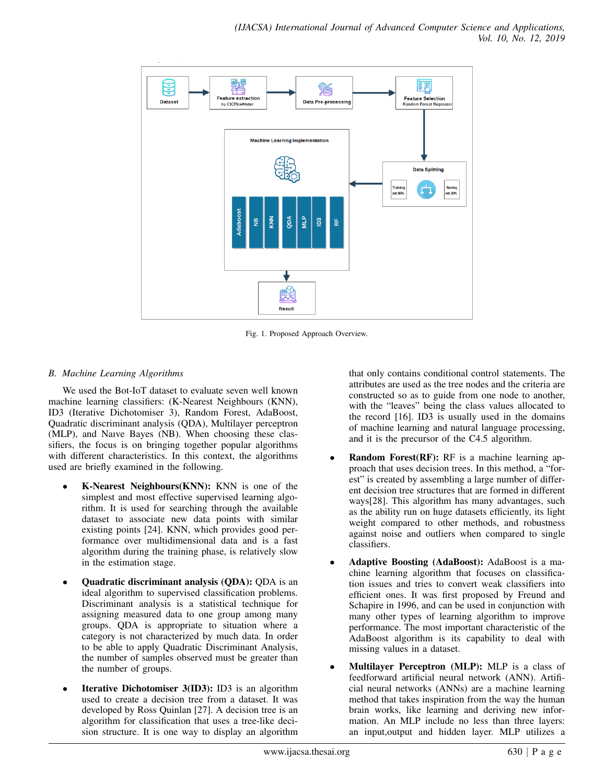

Fig. 1. Proposed Approach Overview.

# *B. Machine Learning Algorithms*

We used the Bot-IoT dataset to evaluate seven well known machine learning classifiers: (K-Nearest Neighbours (KNN), ID3 (Iterative Dichotomiser 3), Random Forest, AdaBoost, Quadratic discriminant analysis (QDA), Multilayer perceptron (MLP), and Naıve Bayes (NB). When choosing these classifiers, the focus is on bringing together popular algorithms with different characteristics. In this context, the algorithms used are briefly examined in the following.

- K-Nearest Neighbours(KNN): KNN is one of the simplest and most effective supervised learning algorithm. It is used for searching through the available dataset to associate new data points with similar existing points [24]. KNN, which provides good performance over multidimensional data and is a fast algorithm during the training phase, is relatively slow in the estimation stage.
- Quadratic discriminant analysis (QDA): QDA is an ideal algorithm to supervised classification problems. Discriminant analysis is a statistical technique for assigning measured data to one group among many groups. QDA is appropriate to situation where a category is not characterized by much data. In order to be able to apply Quadratic Discriminant Analysis, the number of samples observed must be greater than the number of groups.
- **Iterative Dichotomiser 3(ID3):** ID3 is an algorithm used to create a decision tree from a dataset. It was developed by Ross Quinlan [27]. A decision tree is an algorithm for classification that uses a tree-like decision structure. It is one way to display an algorithm

that only contains conditional control statements. The attributes are used as the tree nodes and the criteria are constructed so as to guide from one node to another, with the "leaves" being the class values allocated to the record [16]. ID3 is usually used in the domains of machine learning and natural language processing, and it is the precursor of the C4.5 algorithm.

- **Random Forest(RF):** RF is a machine learning approach that uses decision trees. In this method, a "forest" is created by assembling a large number of different decision tree structures that are formed in different ways[28]. This algorithm has many advantages, such as the ability run on huge datasets efficiently, its light weight compared to other methods, and robustness against noise and outliers when compared to single classifiers.
- Adaptive Boosting (AdaBoost): AdaBoost is a machine learning algorithm that focuses on classification issues and tries to convert weak classifiers into efficient ones. It was first proposed by Freund and Schapire in 1996, and can be used in conjunction with many other types of learning algorithm to improve performance. The most important characteristic of the AdaBoost algorithm is its capability to deal with missing values in a dataset.
- Multilayer Perceptron (MLP): MLP is a class of feedforward artificial neural network (ANN). Artificial neural networks (ANNs) are a machine learning method that takes inspiration from the way the human brain works, like learning and deriving new information. An MLP include no less than three layers: an input,output and hidden layer. MLP utilizes a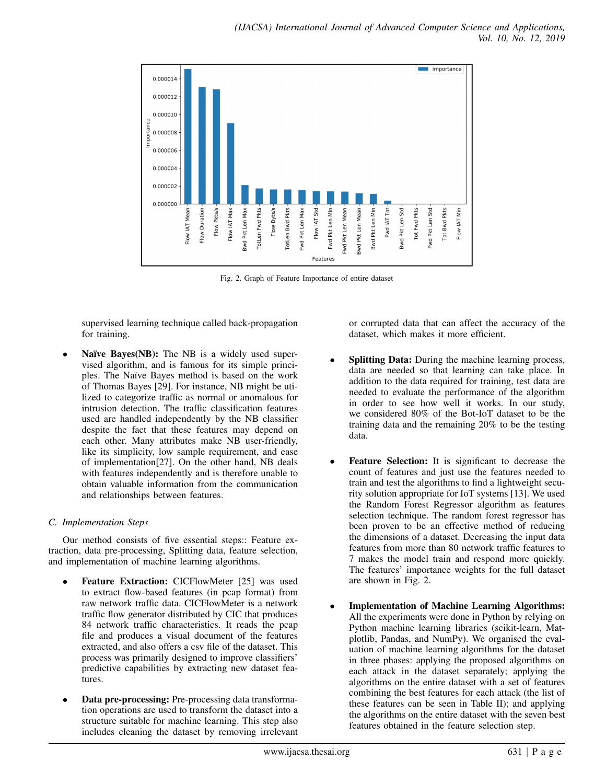

Fig. 2. Graph of Feature Importance of entire dataset

supervised learning technique called back-propagation for training.

Naïve Bayes(NB): The NB is a widely used supervised algorithm, and is famous for its simple principles. The Naïve Bayes method is based on the work of Thomas Bayes [29]. For instance, NB might be utilized to categorize traffic as normal or anomalous for intrusion detection. The traffic classification features used are handled independently by the NB classifier despite the fact that these features may depend on each other. Many attributes make NB user-friendly, like its simplicity, low sample requirement, and ease of implementation[27]. On the other hand, NB deals with features independently and is therefore unable to obtain valuable information from the communication and relationships between features.

# *C. Implementation Steps*

Our method consists of five essential steps:: Feature extraction, data pre-processing, Splitting data, feature selection, and implementation of machine learning algorithms.

- Feature Extraction: CICFlowMeter [25] was used to extract flow-based features (in pcap format) from raw network traffic data. CICFlowMeter is a network traffic flow generator distributed by CIC that produces 84 network traffic characteristics. It reads the pcap file and produces a visual document of the features extracted, and also offers a csv file of the dataset. This process was primarily designed to improve classifiers' predictive capabilities by extracting new dataset features.
- Data pre-processing: Pre-processing data transformation operations are used to transform the dataset into a structure suitable for machine learning. This step also includes cleaning the dataset by removing irrelevant

or corrupted data that can affect the accuracy of the dataset, which makes it more efficient.

- Splitting Data: During the machine learning process, data are needed so that learning can take place. In addition to the data required for training, test data are needed to evaluate the performance of the algorithm in order to see how well it works. In our study, we considered 80% of the Bot-IoT dataset to be the training data and the remaining 20% to be the testing data.
- Feature Selection: It is significant to decrease the count of features and just use the features needed to train and test the algorithms to find a lightweight security solution appropriate for IoT systems [13]. We used the Random Forest Regressor algorithm as features selection technique. The random forest regressor has been proven to be an effective method of reducing the dimensions of a dataset. Decreasing the input data features from more than 80 network traffic features to 7 makes the model train and respond more quickly. The features' importance weights for the full dataset are shown in Fig. 2.
- Implementation of Machine Learning Algorithms: All the experiments were done in Python by relying on Python machine learning libraries (scikit-learn, Matplotlib, Pandas, and NumPy). We organised the evaluation of machine learning algorithms for the dataset in three phases: applying the proposed algorithms on each attack in the dataset separately; applying the algorithms on the entire dataset with a set of features combining the best features for each attack (the list of these features can be seen in Table II); and applying the algorithms on the entire dataset with the seven best features obtained in the feature selection step.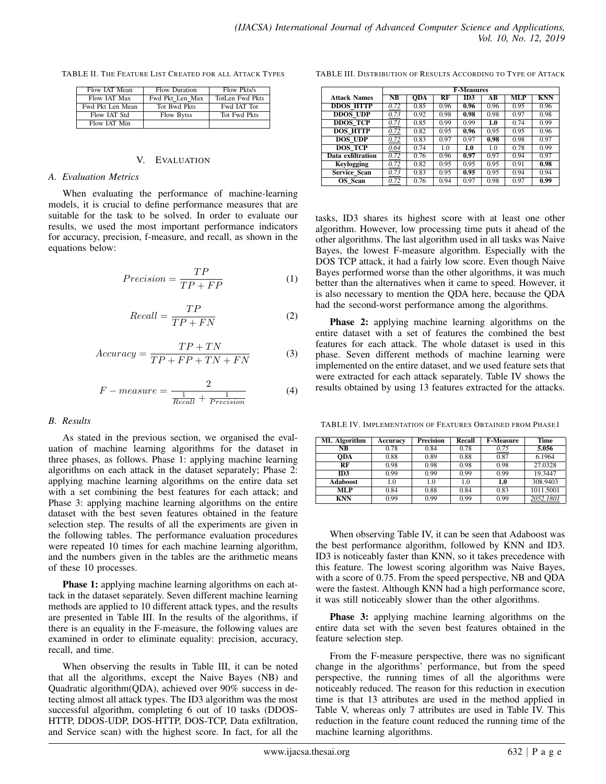TABLE II. THE FEATURE LIST CREATED FOR ALL ATTACK TYPES

| Flow <b>JAT</b> Mean | Flow Duration     | Flow Pkts/s            |
|----------------------|-------------------|------------------------|
| Flow <b>IAT</b> Max  | Fwd Pkt Len Max   | <b>TotLen Fwd Pkts</b> |
| Fwd Pkt Len Mean     | Tot Bwd Pkts      | Fwd IAT Tot            |
| Flow <b>IAT</b> Std  | <b>Flow Bytss</b> | Tot Fwd Pkts           |
| Flow IAT Min         |                   |                        |

#### V. EVALUATION

#### *A. Evaluation Metrics*

When evaluating the performance of machine-learning models, it is crucial to define performance measures that are suitable for the task to be solved. In order to evaluate our results, we used the most important performance indicators for accuracy, precision, f-measure, and recall, as shown in the equations below:

$$
Precision = \frac{TP}{TP + FP}
$$
 (1)

$$
Recall = \frac{TP}{TP + FN}
$$
 (2)

$$
Accuracy = \frac{TP + TN}{TP + FP + TN + FN}
$$
 (3)

$$
F-measure = \frac{2}{\frac{1}{Recall} + \frac{1}{Precision}}\tag{4}
$$

#### *B. Results*

As stated in the previous section, we organised the evaluation of machine learning algorithms for the dataset in three phases, as follows. Phase 1: applying machine learning algorithms on each attack in the dataset separately; Phase 2: applying machine learning algorithms on the entire data set with a set combining the best features for each attack; and Phase 3: applying machine learning algorithms on the entire dataset with the best seven features obtained in the feature selection step. The results of all the experiments are given in the following tables. The performance evaluation procedures were repeated 10 times for each machine learning algorithm, and the numbers given in the tables are the arithmetic means of these 10 processes.

Phase 1: applying machine learning algorithms on each attack in the dataset separately. Seven different machine learning methods are applied to 10 different attack types, and the results are presented in Table III. In the results of the algorithms, if there is an equality in the F-measure, the following values are examined in order to eliminate equality: precision, accuracy, recall, and time.

When observing the results in Table III, it can be noted that all the algorithms, except the Naive Bayes (NB) and Quadratic algorithm(QDA), achieved over 90% success in detecting almost all attack types. The ID3 algorithm was the most successful algorithm, completing 6 out of 10 tasks (DDOS-HTTP, DDOS-UDP, DOS-HTTP, DOS-TCP, Data exfiltration, and Service scan) with the highest score. In fact, for all the

TABLE III. DISTRIBUTION OF RESULTS ACCORDING TO TYPE OF ATTACK

|                     |                        |            |             | <b>F-Measures</b> |      |      |            |
|---------------------|------------------------|------------|-------------|-------------------|------|------|------------|
| <b>Attack Names</b> | $\overline{\text{NB}}$ | <b>ODA</b> | $_{\rm RF}$ | ID3               | АB   | ML P | <b>KNN</b> |
| <b>DDOS HTTP</b>    | 0.72                   | 0.85       | 0.96        | 0.96              | 0.96 | 0.95 | 0.96       |
| <b>DDOS UDP</b>     | 0.73                   | 0.92       | 0.98        | 0.98              | 0.98 | 0.97 | 0.98       |
| <b>DDOS TCP</b>     | 0.71                   | 0.85       | 0.99        | 0.99              | 1.0  | 0.74 | 0.99       |
| <b>DOS HTTP</b>     | 0.72                   | 0.82       | 0.95        | 0.96              | 0.95 | 0.95 | 0.96       |
| <b>DOS UDP</b>      | 0.72                   | 0.83       | 0.97        | 0.97              | 0.98 | 0.98 | 0.97       |
| <b>DOS TCP</b>      | 0.64                   | 0.74       | 1.0         | 1.0               | 1.0  | 0.78 | 0.99       |
| Data exfiltration   | 0.72                   | 0.76       | 0.96        | 0.97              | 0.97 | 0.94 | 0.97       |
| <b>Keylogging</b>   | 0.72                   | 0.82       | 0.95        | 0.95              | 0.95 | 0.91 | 0.98       |
| Service Scan        | 0.73                   | 0.83       | 0.95        | 0.95              | 0.95 | 0.94 | 0.94       |
| OS Scan             | 0.72                   | 0.76       | 0.94        | 0.97              | 0.98 | 0.97 | 0.99       |

tasks, ID3 shares its highest score with at least one other algorithm. However, low processing time puts it ahead of the other algorithms. The last algorithm used in all tasks was Naive Bayes, the lowest F-measure algorithm. Especially with the DOS TCP attack, it had a fairly low score. Even though Naive Bayes performed worse than the other algorithms, it was much better than the alternatives when it came to speed. However, it is also necessary to mention the QDA here, because the QDA had the second-worst performance among the algorithms.

Phase 2: applying machine learning algorithms on the entire dataset with a set of features the combined the best features for each attack. The whole dataset is used in this phase. Seven different methods of machine learning were implemented on the entire dataset, and we used feature sets that were extracted for each attack separately. Table IV shows the results obtained by using 13 features extracted for the attacks.

TABLE IV. IMPLEMENTATION OF FEATURES OBTAINED FROM PHASE1

| ML Algorithm | Accuracy | <b>Precision</b> | Recall | <b>F-Measure</b> | Time      |
|--------------|----------|------------------|--------|------------------|-----------|
| NB           | 0.78     | 0.84             | 0.78   | 0.75             | 5.056     |
| ODA          | 0.88     | 0.89             | 0.88   | 0.87             | 6.1964    |
| RF           | 0.98     | 0.98             | 0.98   | 0.98             | 27.0328   |
| ID3          | 0.99     | 0.99             | 0.99   | 0.99             | 19.3447   |
| Adaboost     | 1.0      | 1.0              | 1.0    | 1.0              | 308.9403  |
| <b>MLP</b>   | 0.84     | 0.88             | 0.84   | 0.83             | 1011.5001 |
| <b>KNN</b>   | 0.99     | 0.99             | 0.99   | 0.99             | 2052.1801 |

When observing Table IV, it can be seen that Adaboost was the best performance algorithm, followed by KNN and ID3. ID3 is noticeably faster than KNN, so it takes precedence with this feature. The lowest scoring algorithm was Naive Bayes, with a score of 0.75. From the speed perspective, NB and QDA were the fastest. Although KNN had a high performance score, it was still noticeably slower than the other algorithms.

Phase 3: applying machine learning algorithms on the entire data set with the seven best features obtained in the feature selection step.

From the F-measure perspective, there was no significant change in the algorithms' performance, but from the speed perspective, the running times of all the algorithms were noticeably reduced. The reason for this reduction in execution time is that 13 attributes are used in the method applied in Table V, whereas only 7 attributes are used in Table IV. This reduction in the feature count reduced the running time of the machine learning algorithms.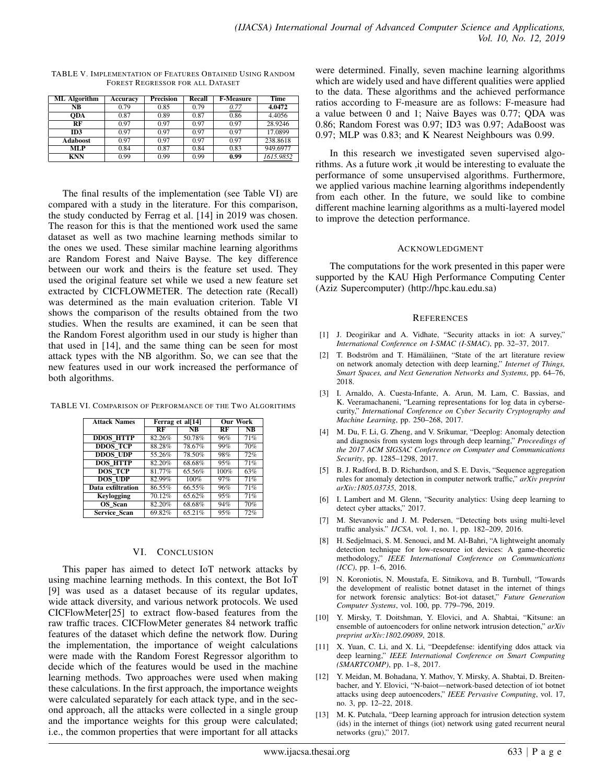| <b>ML</b> Algorithm | Accuracy | <b>Precision</b> | Recall | <b>F-Measure</b> | Time      |
|---------------------|----------|------------------|--------|------------------|-----------|
| NB                  | 0.79     | 0.85             | 0.79   | 0.77             | 4.0472    |
| ODA                 | 0.87     | 0.89             | 0.87   | 0.86             | 4.4056    |
| RF                  | 0.97     | 0.97             | 0.97   | 0.97             | 28.9246   |
| ID <sub>3</sub>     | 0.97     | 0.97             | 0.97   | 0.97             | 17.0899   |
| Adaboost            | 0.97     | 0.97             | 0.97   | 0.97             | 238.8618  |
| <b>MLP</b>          | 0.84     | 0.87             | 0.84   | 0.83             | 949.6977  |
| <b>KNN</b>          | 0.99     | 0.99             | 0.99   | 0.99             | 1615.9852 |

TABLE V. IMPLEMENTATION OF FEATURES OBTAINED USING RANDOM FOREST REGRESSOR FOR ALL DATASET

The final results of the implementation (see Table VI) are compared with a study in the literature. For this comparison, the study conducted by Ferrag et al. [14] in 2019 was chosen. The reason for this is that the mentioned work used the same dataset as well as two machine learning methods similar to the ones we used. These similar machine learning algorithms are Random Forest and Naive Bayse. The key difference between our work and theirs is the feature set used. They used the original feature set while we used a new feature set extracted by CICFLOWMETER. The detection rate (Recall) was determined as the main evaluation criterion. Table VI shows the comparison of the results obtained from the two studies. When the results are examined, it can be seen that the Random Forest algorithm used in our study is higher than that used in [14], and the same thing can be seen for most attack types with the NB algorithm. So, we can see that the new features used in our work increased the performance of both algorithms.

| <b>Attack Names</b> | Ferrag et al[14] | <b>Our Work</b> |     |           |
|---------------------|------------------|-----------------|-----|-----------|
|                     | RF               | <b>NB</b>       | RF  | <b>NB</b> |
| <b>DDOS HTTP</b>    | 82.26%           | 50.78%          | 96% | 71%       |
| <b>DDOS TCP</b>     | 88.28%           | 78.67%          | 99% | 70%       |
| <b>DDOS UDP</b>     | 55.26%           | 78.50%          | 98% | 72%       |
| <b>DOS HTTP</b>     | 82.20%           | 68.68%          | 95% | 71%       |

 $\overline{DOS\_TCP}$  81.77% 65.56% 100% 63%<br>  $\overline{DOS\_TOP}$  82.99% 100% 97% 71% **DOS\_UDP** 82.99% 100% 97% 71%<br> **ata exfiltration** 86.55% 66.55% 96% 71% **Data exfiltration** 86.55% 66.55% 96% 71%<br>**Keylogging** 70.12% 65.62% 95% 71% **Keylogging** 70.12% 65.62% 95% 71%<br> **OS\_Scan** 82.20% 68.68% 94% 70% **OS\_Scan** 82.20% 68.68% 94% 70%<br> **ervice\_Scan** 69.82% 65.21% 95% 72%

TABLE VI. COMPARISON OF PERFORMANCE OF THE TWO ALGORITHMS

## VI. CONCLUSION

Service\_Scan 69.82% 65.21%

This paper has aimed to detect IoT network attacks by using machine learning methods. In this context, the Bot IoT [9] was used as a dataset because of its regular updates, wide attack diversity, and various network protocols. We used CICFlowMeter[25] to extract flow-based features from the raw traffic traces. CICFlowMeter generates 84 network traffic features of the dataset which define the network flow. During the implementation, the importance of weight calculations were made with the Random Forest Regressor algorithm to decide which of the features would be used in the machine learning methods. Two approaches were used when making these calculations. In the first approach, the importance weights were calculated separately for each attack type, and in the second approach, all the attacks were collected in a single group and the importance weights for this group were calculated; i.e., the common properties that were important for all attacks

were determined. Finally, seven machine learning algorithms which are widely used and have different qualities were applied to the data. These algorithms and the achieved performance ratios according to F-measure are as follows: F-measure had a value between 0 and 1; Naive Bayes was 0.77; QDA was 0.86; Random Forest was 0.97; ID3 was 0.97; AdaBoost was 0.97; MLP was 0.83; and K Nearest Neighbours was 0.99.

In this research we investigated seven supervised algorithms. As a future work ,it would be interesting to evaluate the performance of some unsupervised algorithms. Furthermore, we applied various machine learning algorithms independently from each other. In the future, we sould like to combine different machine learning algorithms as a multi-layered model to improve the detection performance.

#### ACKNOWLEDGMENT

The computations for the work presented in this paper were supported by the KAU High Performance Computing Center (Aziz Supercomputer) (http://hpc.kau.edu.sa)

#### **REFERENCES**

- [1] J. Deogirikar and A. Vidhate, "Security attacks in iot: A survey," *International Conference on I-SMAC (I-SMAC)*, pp. 32–37, 2017.
- [2] T. Bodström and T. Hämäläinen, "State of the art literature review on network anomaly detection with deep learning," *Internet of Things, Smart Spaces, and Next Generation Networks and Systems*, pp. 64–76, 2018.
- [3] I. Arnaldo, A. Cuesta-Infante, A. Arun, M. Lam, C. Bassias, and K. Veeramachaneni, "Learning representations for log data in cybersecurity," *International Conference on Cyber Security Cryptography and Machine Learning*, pp. 250–268, 2017.
- [4] M. Du, F. Li, G. Zheng, and V. Srikumar, "Deeplog: Anomaly detection and diagnosis from system logs through deep learning," *Proceedings of the 2017 ACM SIGSAC Conference on Computer and Communications Security*, pp. 1285–1298, 2017.
- [5] B. J. Radford, B. D. Richardson, and S. E. Davis, "Sequence aggregation rules for anomaly detection in computer network traffic," *arXiv preprint arXiv:1805.03735*, 2018.
- [6] I. Lambert and M. Glenn, "Security analytics: Using deep learning to detect cyber attacks," 2017.
- [7] M. Stevanovic and J. M. Pedersen, "Detecting bots using multi-level traffic analysis." *IJCSA*, vol. 1, no. 1, pp. 182–209, 2016.
- [8] H. Sedjelmaci, S. M. Senouci, and M. Al-Bahri, "A lightweight anomaly detection technique for low-resource iot devices: A game-theoretic methodology," *IEEE International Conference on Communications (ICC)*, pp. 1–6, 2016.
- [9] N. Koroniotis, N. Moustafa, E. Sitnikova, and B. Turnbull, "Towards the development of realistic botnet dataset in the internet of things for network forensic analytics: Bot-iot dataset," *Future Generation Computer Systems*, vol. 100, pp. 779–796, 2019.
- [10] Y. Mirsky, T. Doitshman, Y. Elovici, and A. Shabtai, "Kitsune: an ensemble of autoencoders for online network intrusion detection," *arXiv preprint arXiv:1802.09089*, 2018.
- [11] X. Yuan, C. Li, and X. Li, "Deepdefense: identifying ddos attack via deep learning," *IEEE International Conference on Smart Computing (SMARTCOMP)*, pp. 1–8, 2017.
- [12] Y. Meidan, M. Bohadana, Y. Mathov, Y. Mirsky, A. Shabtai, D. Breitenbacher, and Y. Elovici, "N-baiot—network-based detection of iot botnet attacks using deep autoencoders," *IEEE Pervasive Computing*, vol. 17, no. 3, pp. 12–22, 2018.
- [13] M. K. Putchala, "Deep learning approach for intrusion detection system (ids) in the internet of things (iot) network using gated recurrent neural networks (gru)," 2017.